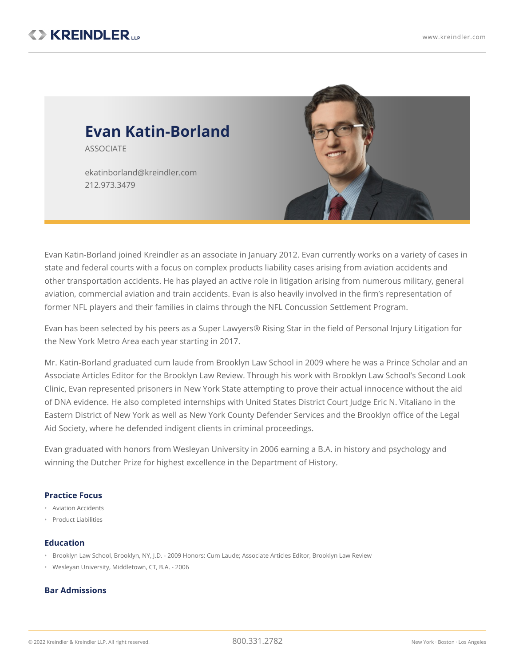

Evan Katin-Borland joined Kreindler as an associate in January 2012. Evan currently works on a variety of cases in state and federal courts with a focus on complex products liability cases arising from aviation accidents and other transportation accidents. He has played an active role in litigation arising from numerous military, general aviation, commercial aviation and train accidents. Evan is also heavily involved in the firm's representation of former NFL players and their families in claims through the NFL Concussion Settlement Program.

Evan has been selected by his peers as a Super Lawyers® Rising Star in the field of Personal Injury Litigation for the New York Metro Area each year starting in 2017.

Mr. Katin-Borland graduated cum laude from Brooklyn Law School in 2009 where he was a Prince Scholar and an Associate Articles Editor for the Brooklyn Law Review. Through his work with Brooklyn Law School's Second Look Clinic, Evan represented prisoners in New York State attempting to prove their actual innocence without the aid of DNA evidence. He also completed internships with United States District Court Judge Eric N. Vitaliano in the Eastern District of New York as well as New York County Defender Services and the Brooklyn office of the Legal Aid Society, where he defended indigent clients in criminal proceedings.

Evan graduated with honors from Wesleyan University in 2006 earning a B.A. in history and psychology and winning the Dutcher Prize for highest excellence in the Department of History.

## **Practice Focus**

- Aviation Accidents
- Product Liabilities

## **Education**

- Brooklyn Law School, Brooklyn, NY, J.D. 2009 Honors: Cum Laude; Associate Articles Editor, Brooklyn Law Review
- Wesleyan University, Middletown, CT, B.A. 2006

## **Bar Admissions**